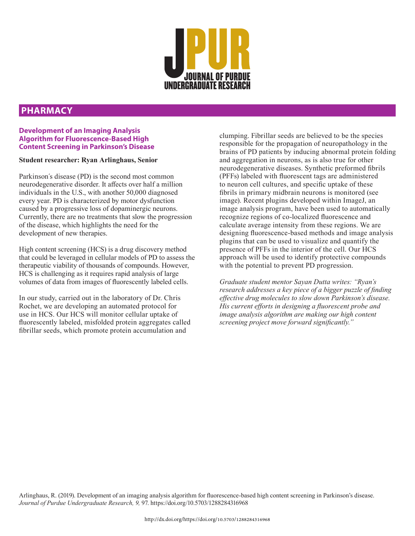

## **PHARMACY**

## **Development of an Imaging Analysis Algorithm for Fluorescence-Based High Content Screening in Parkinson's Disease**

## **Student researcher: Ryan Arlinghaus, Senior**

Parkinson´s disease (PD) is the second most common neurodegenerative disorder. It affects over half a million individuals in the U.S., with another 50,000 diagnosed every year. PD is characterized by motor dysfunction caused by a progressive loss of dopaminergic neurons. Currently, there are no treatments that slow the progression of the disease, which highlights the need for the development of new therapies.

High content screening (HCS) is a drug discovery method that could be leveraged in cellular models of PD to assess the therapeutic viability of thousands of compounds. However, HCS is challenging as it requires rapid analysis of large volumes of data from images of fluorescently labeled cells.

In our study, carried out in the laboratory of Dr. Chris Rochet, we are developing an automated protocol for use in HCS. Our HCS will monitor cellular uptake of fluorescently labeled, misfolded protein aggregates called fibrillar seeds, which promote protein accumulation and

clumping. Fibrillar seeds are believed to be the species responsible for the propagation of neuropathology in the brains of PD patients by inducing abnormal protein folding and aggregation in neurons, as is also true for other neurodegenerative diseases. Synthetic preformed fibrils (PFFs) labeled with fluorescent tags are administered to neuron cell cultures, and specific uptake of these fibrils in primary midbrain neurons is monitored (see image). Recent plugins developed within ImageJ, an image analysis program, have been used to automatically recognize regions of co-localized fluorescence and calculate average intensity from these regions. We are designing fluorescence-based methods and image analysis plugins that can be used to visualize and quantify the presence of PFFs in the interior of the cell. Our HCS approach will be used to identify protective compounds with the potential to prevent PD progression.

*Graduate student mentor Sayan Dutta writes: "Ryan's research addresses a key piece of a bigger puzzle of finding* effective drug molecules to slow down Parkinson's disease. His current efforts in designing a fluorescent probe and *image analysis algorithm are making our high content screening project move forward significantly."* 

Arlinghaus, R. (2019). Development of an imaging analysis algorithm for fluorescence-based high content screening in Parkinson's disease. *Journal of Purdue Undergraduate Research, 9,* 97. https://doi.org/10.5703/1288284316968